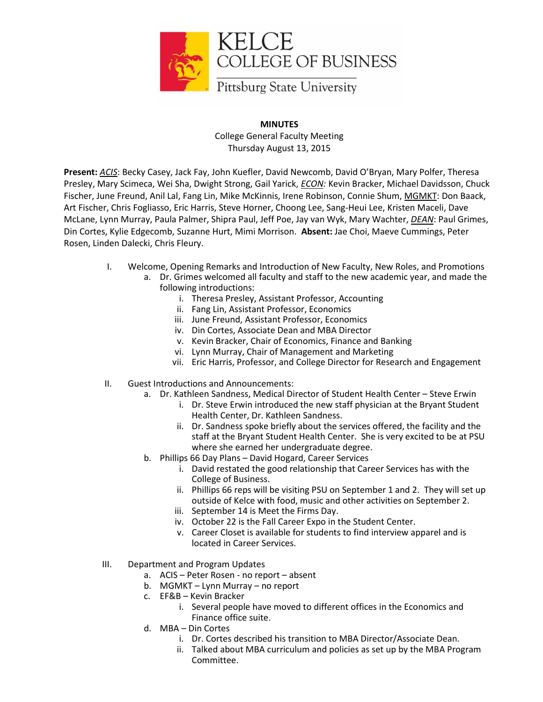

## **MINUTES** College General Faculty Meeting Thursday August 13, 2015

**Present:** *ACIS*: Becky Casey, Jack Fay, John Kuefler, David Newcomb, David O'Bryan, Mary Polfer, Theresa Presley, Mary Scimeca, Wei Sha, Dwight Strong, Gail Yarick, *ECON:* Kevin Bracker, Michael Davidsson, Chuck Fischer, June Freund, Anil Lal, Fang Lin, Mike McKinnis, Irene Robinson, Connie Shum, MGMKT: Don Baack, Art Fischer, Chris Fogliasso, Eric Harris, Steve Horner, Choong Lee, Sang-Heui Lee, Kristen Maceli, Dave McLane, Lynn Murray, Paula Palmer, Shipra Paul, Jeff Poe, Jay van Wyk, Mary Wachter, *DEAN*: Paul Grimes, Din Cortes, Kylie Edgecomb, Suzanne Hurt, Mimi Morrison. **Absent:** Jae Choi, Maeve Cummings, Peter Rosen, Linden Dalecki, Chris Fleury.

- I. Welcome, Opening Remarks and Introduction of New Faculty, New Roles, and Promotions
	- a. Dr. Grimes welcomed all faculty and staff to the new academic year, and made the following introductions:
		- i. Theresa Presley, Assistant Professor, Accounting
		- ii. Fang Lin, Assistant Professor, Economics
		- iii. June Freund, Assistant Professor, Economics
		- iv. Din Cortes, Associate Dean and MBA Director
		- v. Kevin Bracker, Chair of Economics, Finance and Banking
		- vi. Lynn Murray, Chair of Management and Marketing
		- vii. Eric Harris, Professor, and College Director for Research and Engagement
- II. Guest Introductions and Announcements:
	- a. Dr. Kathleen Sandness, Medical Director of Student Health Center Steve Erwin
		- i. Dr. Steve Erwin introduced the new staff physician at the Bryant Student Health Center, Dr. Kathleen Sandness.
		- ii. Dr. Sandness spoke briefly about the services offered, the facility and the staff at the Bryant Student Health Center. She is very excited to be at PSU where she earned her undergraduate degree.
	- b. Phillips 66 Day Plans David Hogard, Career Services
		- i. David restated the good relationship that Career Services has with the College of Business.
		- ii. Phillips 66 reps will be visiting PSU on September 1 and 2. They will set up outside of Kelce with food, music and other activities on September 2.
		- iii. September 14 is Meet the Firms Day.
		- iv. October 22 is the Fall Career Expo in the Student Center.
		- v. Career Closet is available for students to find interview apparel and is located in Career Services.
- III. Department and Program Updates
	- a. ACIS Peter Rosen no report absent
	- b. MGMKT Lynn Murray no report
	- c. EF&B Kevin Bracker
		- i. Several people have moved to different offices in the Economics and Finance office suite.
	- d. MBA Din Cortes
		- i. Dr. Cortes described his transition to MBA Director/Associate Dean.
		- ii. Talked about MBA curriculum and policies as set up by the MBA Program Committee.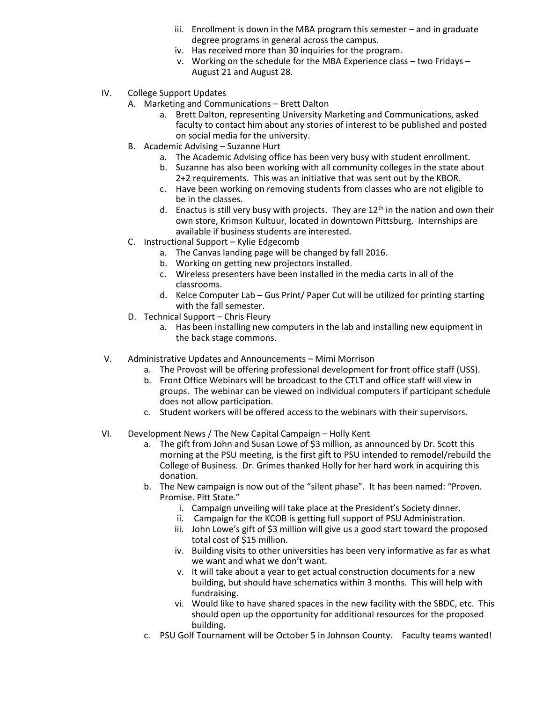- iii. Enrollment is down in the MBA program this semester and in graduate degree programs in general across the campus.
- iv. Has received more than 30 inquiries for the program.
- v. Working on the schedule for the MBA Experience class two Fridays August 21 and August 28.
- IV. College Support Updates
	- A. Marketing and Communications Brett Dalton
		- a. Brett Dalton, representing University Marketing and Communications, asked faculty to contact him about any stories of interest to be published and posted on social media for the university.
	- B. Academic Advising Suzanne Hurt
		- a. The Academic Advising office has been very busy with student enrollment.
		- b. Suzanne has also been working with all community colleges in the state about 2+2 requirements. This was an initiative that was sent out by the KBOR.
		- c. Have been working on removing students from classes who are not eligible to be in the classes.
		- d. Enactus is still very busy with projects. They are  $12<sup>th</sup>$  in the nation and own their own store, Krimson Kultuur, located in downtown Pittsburg. Internships are available if business students are interested.
	- C. Instructional Support Kylie Edgecomb
		- a. The Canvas landing page will be changed by fall 2016.
		- b. Working on getting new projectors installed.
		- c. Wireless presenters have been installed in the media carts in all of the classrooms.
		- d. Kelce Computer Lab Gus Print/ Paper Cut will be utilized for printing starting with the fall semester.
	- D. Technical Support Chris Fleury
		- a. Has been installing new computers in the lab and installing new equipment in the back stage commons.
- V. Administrative Updates and Announcements Mimi Morrison
	- a. The Provost will be offering professional development for front office staff (USS).
	- b. Front Office Webinars will be broadcast to the CTLT and office staff will view in groups. The webinar can be viewed on individual computers if participant schedule does not allow participation.
	- c. Student workers will be offered access to the webinars with their supervisors.
- VI. Development News / The New Capital Campaign Holly Kent
	- a. The gift from John and Susan Lowe of \$3 million, as announced by Dr. Scott this morning at the PSU meeting, is the first gift to PSU intended to remodel/rebuild the College of Business. Dr. Grimes thanked Holly for her hard work in acquiring this donation.
	- b. The New campaign is now out of the "silent phase". It has been named: "Proven. Promise. Pitt State."
		- i. Campaign unveiling will take place at the President's Society dinner.
		- ii. Campaign for the KCOB is getting full support of PSU Administration.
		- iii. John Lowe's gift of \$3 million will give us a good start toward the proposed total cost of \$15 million.
		- iv. Building visits to other universities has been very informative as far as what we want and what we don't want.
		- v. It will take about a year to get actual construction documents for a new building, but should have schematics within 3 months. This will help with fundraising.
		- vi. Would like to have shared spaces in the new facility with the SBDC, etc. This should open up the opportunity for additional resources for the proposed building.
	- c. PSU Golf Tournament will be October 5 in Johnson County. Faculty teams wanted!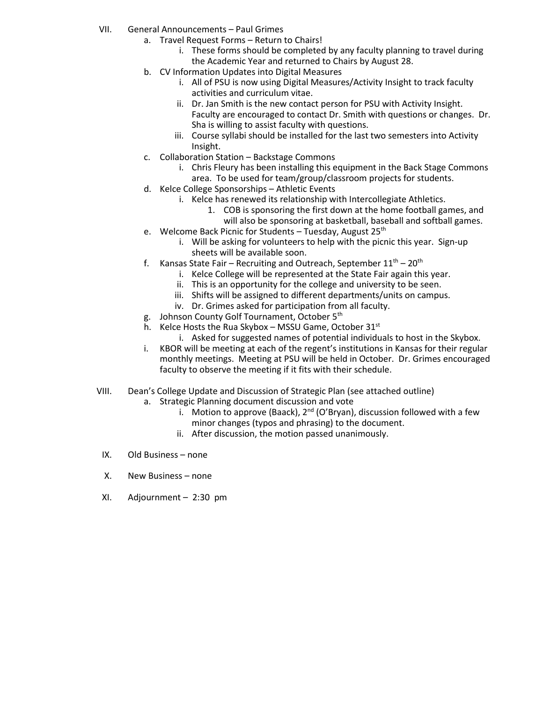- VII. General Announcements Paul Grimes
	- a. Travel Request Forms Return to Chairs!
		- i. These forms should be completed by any faculty planning to travel during the Academic Year and returned to Chairs by August 28.
	- b. CV Information Updates into Digital Measures
		- i. All of PSU is now using Digital Measures/Activity Insight to track faculty activities and curriculum vitae.
		- ii. Dr. Jan Smith is the new contact person for PSU with Activity Insight. Faculty are encouraged to contact Dr. Smith with questions or changes. Dr. Sha is willing to assist faculty with questions.
		- iii. Course syllabi should be installed for the last two semesters into Activity Insight.
	- c. Collaboration Station Backstage Commons
		- i. Chris Fleury has been installing this equipment in the Back Stage Commons area. To be used for team/group/classroom projects for students.
	- d. Kelce College Sponsorships Athletic Events
		- i. Kelce has renewed its relationship with Intercollegiate Athletics.
			- 1. COB is sponsoring the first down at the home football games, and will also be sponsoring at basketball, baseball and softball games.
	- e. Welcome Back Picnic for Students Tuesday, August  $25<sup>th</sup>$ 
		- i. Will be asking for volunteers to help with the picnic this year. Sign-up sheets will be available soon.
	- f. Kansas State Fair Recruiting and Outreach, September  $11<sup>th</sup>$  20<sup>th</sup>
		- i. Kelce College will be represented at the State Fair again this year.
		- ii. This is an opportunity for the college and university to be seen.
		- iii. Shifts will be assigned to different departments/units on campus.
		- iv. Dr. Grimes asked for participation from all faculty.
	- g. Johnson County Golf Tournament, October 5<sup>th</sup>
	- h. Kelce Hosts the Rua Skybox MSSU Game, October  $31<sup>st</sup>$ 
		- i. Asked for suggested names of potential individuals to host in the Skybox.
	- i. KBOR will be meeting at each of the regent's institutions in Kansas for their regular monthly meetings. Meeting at PSU will be held in October. Dr. Grimes encouraged faculty to observe the meeting if it fits with their schedule.
- VIII. Dean's College Update and Discussion of Strategic Plan (see attached outline)
	- a. Strategic Planning document discussion and vote
		- i. Motion to approve (Baack),  $2^{nd}$  (O'Bryan), discussion followed with a few minor changes (typos and phrasing) to the document.
		- ii. After discussion, the motion passed unanimously.
- IX. Old Business none
- X. New Business none
- XI. Adjournment 2:30 pm